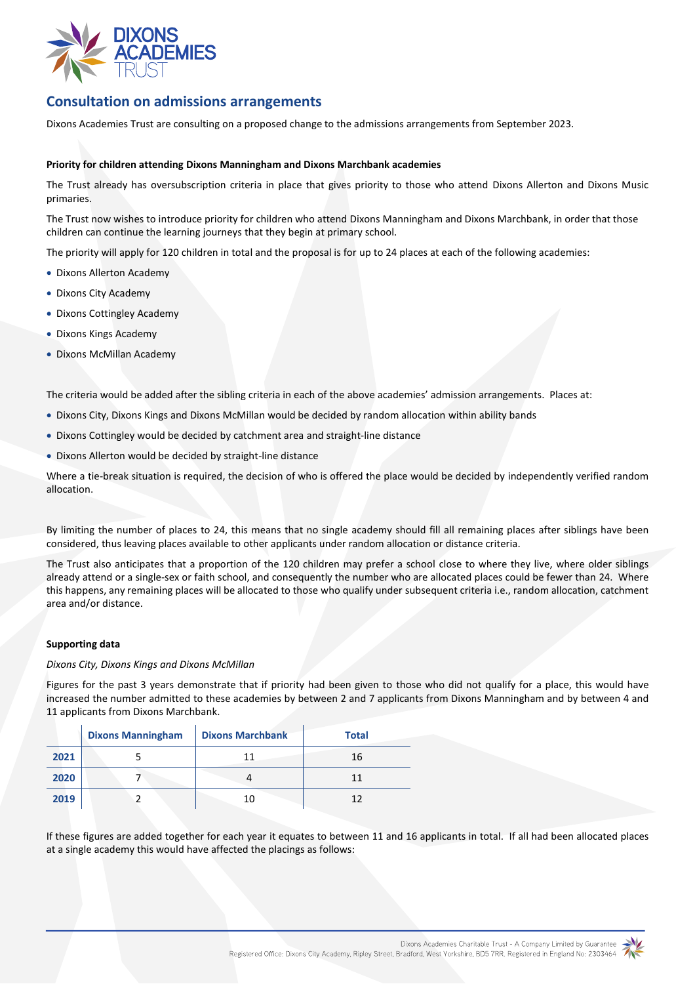

## **Consultation on admissions arrangements**

Dixons Academies Trust are consulting on a proposed change to the admissions arrangements from September 2023.

#### **Priority for children attending Dixons Manningham and Dixons Marchbank academies**

The Trust already has oversubscription criteria in place that gives priority to those who attend Dixons Allerton and Dixons Music primaries.

The Trust now wishes to introduce priority for children who attend Dixons Manningham and Dixons Marchbank, in order that those children can continue the learning journeys that they begin at primary school.

The priority will apply for 120 children in total and the proposal is for up to 24 places at each of the following academies:

- Dixons Allerton Academy
- Dixons City Academy
- Dixons Cottingley Academy
- Dixons Kings Academy
- Dixons McMillan Academy

The criteria would be added after the sibling criteria in each of the above academies' admission arrangements. Places at:

- Dixons City, Dixons Kings and Dixons McMillan would be decided by random allocation within ability bands
- Dixons Cottingley would be decided by catchment area and straight-line distance
- Dixons Allerton would be decided by straight-line distance

Where a tie-break situation is required, the decision of who is offered the place would be decided by independently verified random allocation.

By limiting the number of places to 24, this means that no single academy should fill all remaining places after siblings have been considered, thus leaving places available to other applicants under random allocation or distance criteria.

The Trust also anticipates that a proportion of the 120 children may prefer a school close to where they live, where older siblings already attend or a single-sex or faith school, and consequently the number who are allocated places could be fewer than 24. Where this happens, any remaining places will be allocated to those who qualify under subsequent criteria i.e., random allocation, catchment area and/or distance.

#### **Supporting data**

#### *Dixons City, Dixons Kings and Dixons McMillan*

Figures for the past 3 years demonstrate that if priority had been given to those who did not qualify for a place, this would have increased the number admitted to these academies by between 2 and 7 applicants from Dixons Manningham and by between 4 and 11 applicants from Dixons Marchbank.

|      | <b>Dixons Manningham</b> | <b>Dixons Marchbank</b> | <b>Total</b> |
|------|--------------------------|-------------------------|--------------|
| 2021 |                          | 11                      | 16           |
| 2020 |                          |                         | 11           |
| 2019 |                          | 10                      |              |

If these figures are added together for each year it equates to between 11 and 16 applicants in total. If all had been allocated places at a single academy this would have affected the placings as follows: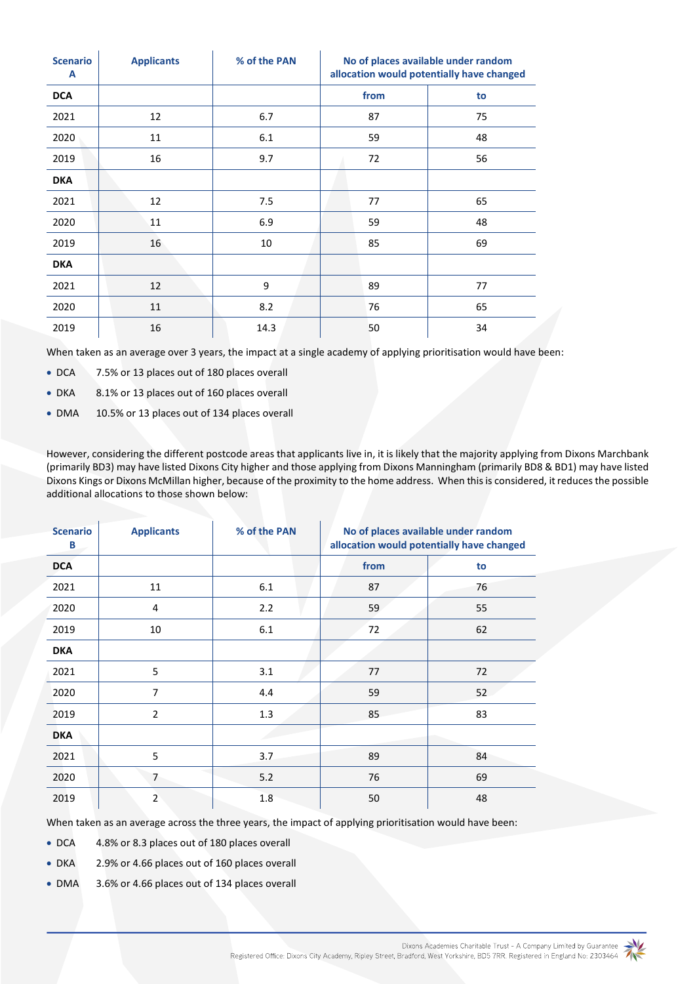| <b>Scenario</b><br>A | <b>Applicants</b> | % of the PAN | No of places available under random<br>allocation would potentially have changed |    |
|----------------------|-------------------|--------------|----------------------------------------------------------------------------------|----|
| <b>DCA</b>           |                   |              | from                                                                             | to |
| 2021                 | 12                | 6.7          | 87                                                                               | 75 |
| 2020                 | 11                | 6.1          | 59                                                                               | 48 |
| 2019                 | 16                | 9.7          | 72                                                                               | 56 |
| <b>DKA</b>           |                   |              |                                                                                  |    |
| 2021                 | 12                | 7.5          | 77                                                                               | 65 |
| 2020                 | 11                | 6.9          | 59                                                                               | 48 |
| 2019                 | 16                | 10           | 85                                                                               | 69 |
| <b>DKA</b>           |                   |              |                                                                                  |    |
| 2021                 | 12                | 9            | 89                                                                               | 77 |
| 2020                 | 11                | 8.2          | 76                                                                               | 65 |
| 2019                 | 16                | 14.3         | 50                                                                               | 34 |

When taken as an average over 3 years, the impact at a single academy of applying prioritisation would have been:

DCA 7.5% or 13 places out of 180 places overall

DKA 8.1% or 13 places out of 160 places overall

DMA 10.5% or 13 places out of 134 places overall

However, considering the different postcode areas that applicants live in, it is likely that the majority applying from Dixons Marchbank (primarily BD3) may have listed Dixons City higher and those applying from Dixons Manningham (primarily BD8 & BD1) may have listed Dixons Kings or Dixons McMillan higher, because of the proximity to the home address. When this is considered, itreducesthe possible additional allocations to those shown below:

| <b>Scenario</b><br>B | <b>Applicants</b> | % of the PAN | No of places available under random<br>allocation would potentially have changed |    |
|----------------------|-------------------|--------------|----------------------------------------------------------------------------------|----|
| <b>DCA</b>           |                   |              | from                                                                             | to |
| 2021                 | 11                | 6.1          | 87                                                                               | 76 |
| 2020                 | 4                 | 2.2          | 59                                                                               | 55 |
| 2019                 | 10                | 6.1          | 72                                                                               | 62 |
| <b>DKA</b>           |                   |              |                                                                                  |    |
| 2021                 | 5                 | 3.1          | 77                                                                               | 72 |
| 2020                 | $\overline{7}$    | 4.4          | 59                                                                               | 52 |
| 2019                 | $\overline{2}$    | 1.3          | 85                                                                               | 83 |
| <b>DKA</b>           |                   |              |                                                                                  |    |
| 2021                 | 5                 | 3.7          | 89                                                                               | 84 |
| 2020                 | $\overline{7}$    | 5.2          | 76                                                                               | 69 |
| 2019                 | $\overline{2}$    | 1.8          | 50                                                                               | 48 |

When taken as an average across the three years, the impact of applying prioritisation would have been:

DCA 4.8% or 8.3 places out of 180 places overall

DKA 2.9% or 4.66 places out of 160 places overall

DMA 3.6% or 4.66 places out of 134 places overall

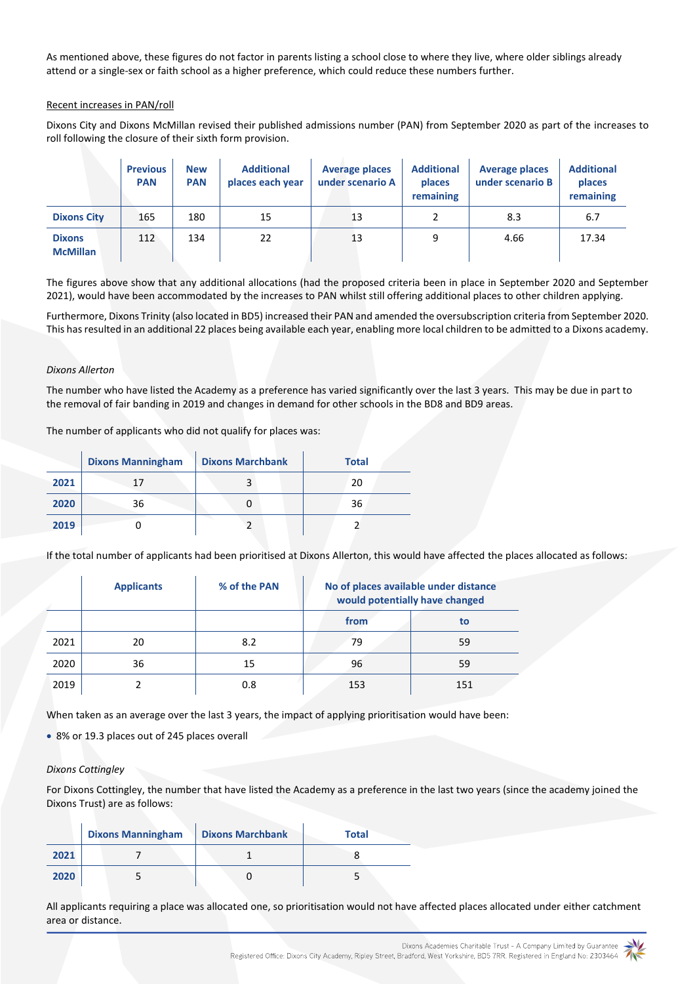As mentioned above, these figures do not factor in parents listing a school close to where they live, where older siblings already attend or a single-sex or faith school as a higher preference, which could reduce these numbers further.

## Recent increases in PAN/roll

Dixons City and Dixons McMillan revised their published admissions number (PAN) from September 2020 as part of the increases to roll following the closure of their sixth form provision.

|                                  | <b>Previous</b><br><b>PAN</b> | <b>New</b><br><b>PAN</b> | <b>Additional</b><br>places each year | <b>Average places</b><br>under scenario A | <b>Additional</b><br>places<br>remaining | <b>Average places</b><br>under scenario B | <b>Additional</b><br>places<br>remaining |
|----------------------------------|-------------------------------|--------------------------|---------------------------------------|-------------------------------------------|------------------------------------------|-------------------------------------------|------------------------------------------|
| <b>Dixons City</b>               | 165                           | 180                      | 15                                    | 13                                        |                                          | 8.3                                       | 6.7                                      |
| <b>Dixons</b><br><b>McMillan</b> | 112                           | 134                      | 22                                    | 13                                        | 9                                        | 4.66                                      | 17.34                                    |

The figures above show that any additional allocations (had the proposed criteria been in place in September 2020 and September 2021), would have been accommodated by the increases to PAN whilst still offering additional places to other children applying.

Furthermore, Dixons Trinity (also located in BD5) increased their PAN and amended the oversubscription criteria from September 2020. This has resulted in an additional 22 places being available each year, enabling more local children to be admitted to a Dixons academy.

### *Dixons Allerton*

The number who have listed the Academy as a preference has varied significantly over the last 3 years. This may be due in part to the removal of fair banding in 2019 and changes in demand for other schools in the BD8 and BD9 areas.

The number of applicants who did not qualify for places was:

|      | <b>Dixons Manningham</b> | <b>Dixons Marchbank</b> | <b>Total</b> |
|------|--------------------------|-------------------------|--------------|
| 2021 | 17                       |                         | 20           |
| 2020 | 36                       |                         | 36           |
| 2019 |                          |                         |              |

If the total number of applicants had been prioritised at Dixons Allerton, this would have affected the places allocated as follows:

|      | <b>Applicants</b> | % of the PAN | No of places available under distance<br>would potentially have changed |     |
|------|-------------------|--------------|-------------------------------------------------------------------------|-----|
|      |                   |              | from                                                                    | to  |
| 2021 | 20                | 8.2          | 79                                                                      | 59  |
| 2020 | 36                | 15           | 96                                                                      | 59  |
| 2019 |                   | 0.8          | 153                                                                     | 151 |

When taken as an average over the last 3 years, the impact of applying prioritisation would have been:

8% or 19.3 places out of 245 places overall

#### *Dixons Cottingley*

For Dixons Cottingley, the number that have listed the Academy as a preference in the last two years (since the academy joined the Dixons Trust) are as follows:

|      | <b>Dixons Manningham</b> | <b>Dixons Marchbank</b> | <b>Total</b> |
|------|--------------------------|-------------------------|--------------|
| 2021 |                          |                         |              |
| 2020 |                          |                         |              |

All applicants requiring a place was allocated one, so prioritisation would not have affected places allocated under either catchment area or distance.

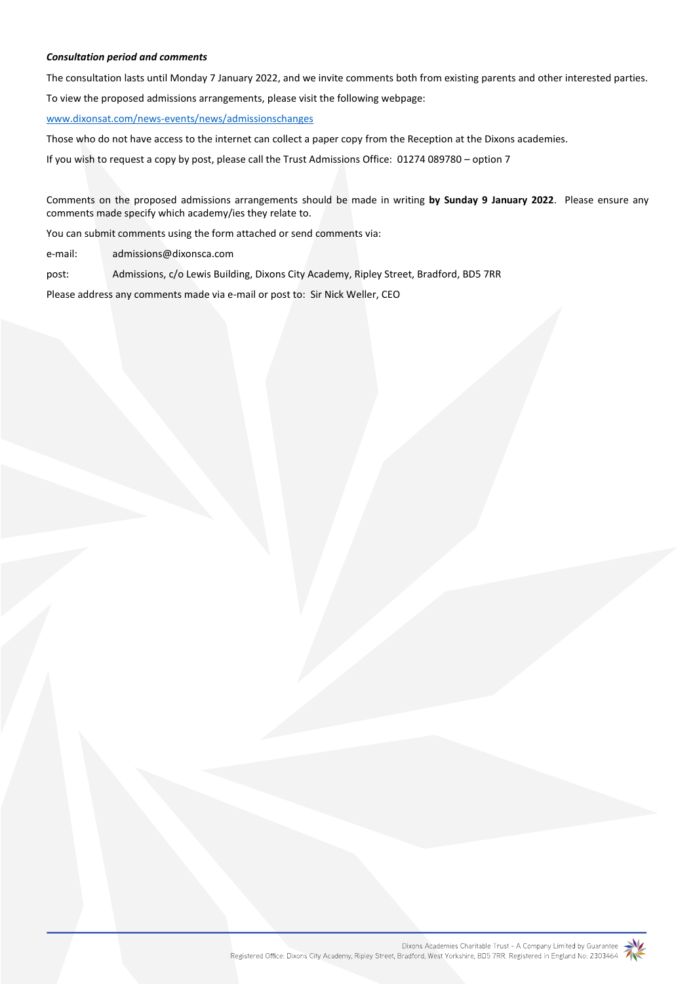## *Consultation period and comments*

The consultation lasts until Monday 7 January 2022, and we invite comments both from existing parents and other interested parties. To view the proposed admissions arrangements, please visit the following webpage:

#### [www.dixonsat.com/news-events/news/admissionschanges](http://www.dixonsat.com/news-events/news/admissionschanges)

Those who do not have access to the internet can collect a paper copy from the Reception at the Dixons academies.

If you wish to request a copy by post, please call the Trust Admissions Office: 01274 089780 – option 7

Comments on the proposed admissions arrangements should be made in writing **by Sunday 9 January 2022**. Please ensure any comments made specify which academy/ies they relate to.

You can submit comments using the form attached or send comments via:

e-mail: admissions@dixonsca.com

post: Admissions, c/o Lewis Building, Dixons City Academy, Ripley Street, Bradford, BD5 7RR

Please address any comments made via e-mail or post to: Sir Nick Weller, CEO